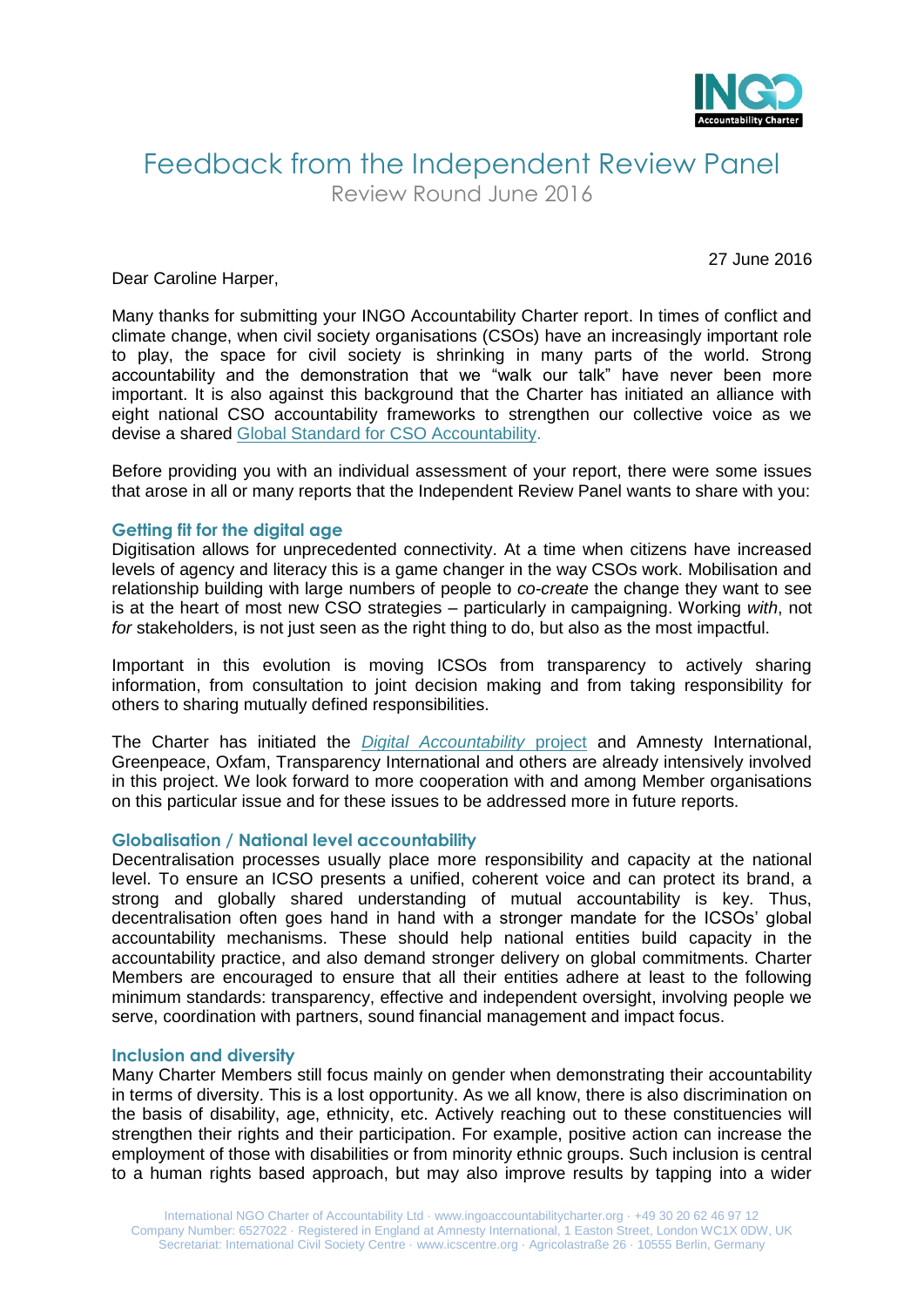

# Feedback from the Independent Review Panel

Review Round June 2016

27 June 2016

Dear Caroline Harper,

Many thanks for submitting your INGO Accountability Charter report. In times of conflict and climate change, when civil society organisations (CSOs) have an increasingly important role to play, the space for civil society is shrinking in many parts of the world. Strong accountability and the demonstration that we "walk our talk" have never been more important. It is also against this background that the Charter has initiated an alliance with eight national CSO accountability frameworks to strengthen our collective voice as we devise a shared [Global Standard for CSO Accountability.](http://www.ingoaccountabilitycharter.org/global-standard-for-cso-accountability/)

Before providing you with an individual assessment of your report, there were some issues that arose in all or many reports that the Independent Review Panel wants to share with you:

#### **Getting fit for the digital age**

Digitisation allows for unprecedented connectivity. At a time when citizens have increased levels of agency and literacy this is a game changer in the way CSOs work. Mobilisation and relationship building with large numbers of people to *co-create* the change they want to see is at the heart of most new CSO strategies – particularly in campaigning. Working *with*, not *for* stakeholders, is not just seen as the right thing to do, but also as the most impactful.

Important in this evolution is moving ICSOs from transparency to actively sharing information, from consultation to joint decision making and from taking responsibility for others to sharing mutually defined responsibilities.

The Charter has initiated the *[Digital Accountability](http://www.ingoaccountabilitycharter.org/cso-accountability-in-the-digital-age/)* project and Amnesty International, Greenpeace, Oxfam, Transparency International and others are already intensively involved in this project. We look forward to more cooperation with and among Member organisations on this particular issue and for these issues to be addressed more in future reports.

#### **Globalisation / National level accountability**

Decentralisation processes usually place more responsibility and capacity at the national level. To ensure an ICSO presents a unified, coherent voice and can protect its brand, a strong and globally shared understanding of mutual accountability is key. Thus, decentralisation often goes hand in hand with a stronger mandate for the ICSOs' global accountability mechanisms. These should help national entities build capacity in the accountability practice, and also demand stronger delivery on global commitments. Charter Members are encouraged to ensure that all their entities adhere at least to the following minimum standards: transparency, effective and independent oversight, involving people we serve, coordination with partners, sound financial management and impact focus.

#### **Inclusion and diversity**

Many Charter Members still focus mainly on gender when demonstrating their accountability in terms of diversity. This is a lost opportunity. As we all know, there is also discrimination on the basis of disability, age, ethnicity, etc. Actively reaching out to these constituencies will strengthen their rights and their participation. For example, positive action can increase the employment of those with disabilities or from minority ethnic groups. Such inclusion is central to a human rights based approach, but may also improve results by tapping into a wider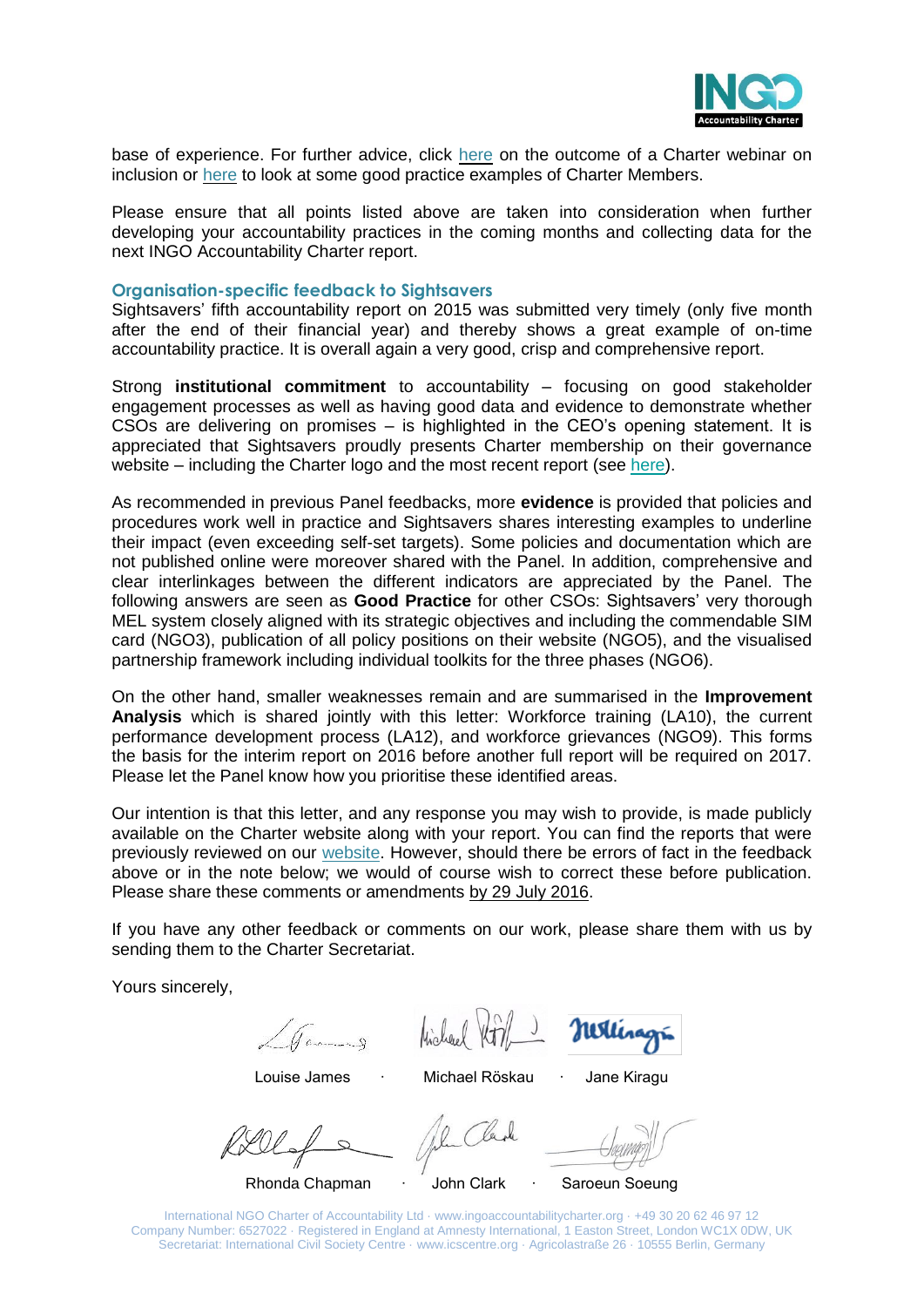

base of experience. For further advice, click [here](http://www.ingoaccountabilitycharter.org/wpcms/wp-content/uploads/14-06-06-Inclusion-Webinar-Summary.pdf) on the outcome of a Charter webinar on inclusion or [here](http://www.ingoaccountabilitycharter.org/good-practice/) to look at some good practice examples of Charter Members.

Please ensure that all points listed above are taken into consideration when further developing your accountability practices in the coming months and collecting data for the next INGO Accountability Charter report.

#### **Organisation-specific feedback to Sightsavers**

Sightsavers' fifth accountability report on 2015 was submitted very timely (only five month after the end of their financial year) and thereby shows a great example of on-time accountability practice. It is overall again a very good, crisp and comprehensive report.

Strong **institutional commitment** to accountability – focusing on good stakeholder engagement processes as well as having good data and evidence to demonstrate whether CSOs are delivering on promises – is highlighted in the CEO's opening statement. It is appreciated that Sightsavers proudly presents Charter membership on their governance website – including the Charter logo and the most recent report (see [here\)](http://www.sightsavers.org/about-us/governance/).

As recommended in previous Panel feedbacks, more **evidence** is provided that policies and procedures work well in practice and Sightsavers shares interesting examples to underline their impact (even exceeding self-set targets). Some policies and documentation which are not published online were moreover shared with the Panel. In addition, comprehensive and clear interlinkages between the different indicators are appreciated by the Panel. The following answers are seen as **Good Practice** for other CSOs: Sightsavers' very thorough MEL system closely aligned with its strategic objectives and including the commendable SIM card (NGO3), publication of all policy positions on their website (NGO5), and the visualised partnership framework including individual toolkits for the three phases (NGO6).

On the other hand, smaller weaknesses remain and are summarised in the **Improvement Analysis** which is shared jointly with this letter: Workforce training (LA10), the current performance development process (LA12), and workforce grievances (NGO9). This forms the basis for the interim report on 2016 before another full report will be required on 2017. Please let the Panel know how you prioritise these identified areas.

Our intention is that this letter, and any response you may wish to provide, is made publicly available on the Charter website along with your report. You can find the reports that were previously reviewed on our [website.](http://www.ingoaccountabilitycharter.org/home/charter-members/) However, should there be errors of fact in the feedback above or in the note below; we would of course wish to correct these before publication. Please share these comments or amendments by 29 July 2016.

If you have any other feedback or comments on our work, please share them with us by sending them to the Charter Secretariat.

Yours sincerely,

Michael Vor/

Millinagin

Louise James ∙ Michael Röskau ∙ Jane Kiragu

Rhonda Chapman ∙ John Clark ∙ Saroeun Soeung

International NGO Charter of Accountability Ltd · www.ingoaccountabilitycharter.org · +49 30 20 62 46 97 12 Company Number: 6527022 · Registered in England at Amnesty International, 1 Easton Street, London WC1X 0DW, UK Secretariat: International Civil Society Centre · www.icscentre.org · Agricolastraße 26 · 10555 Berlin, Germany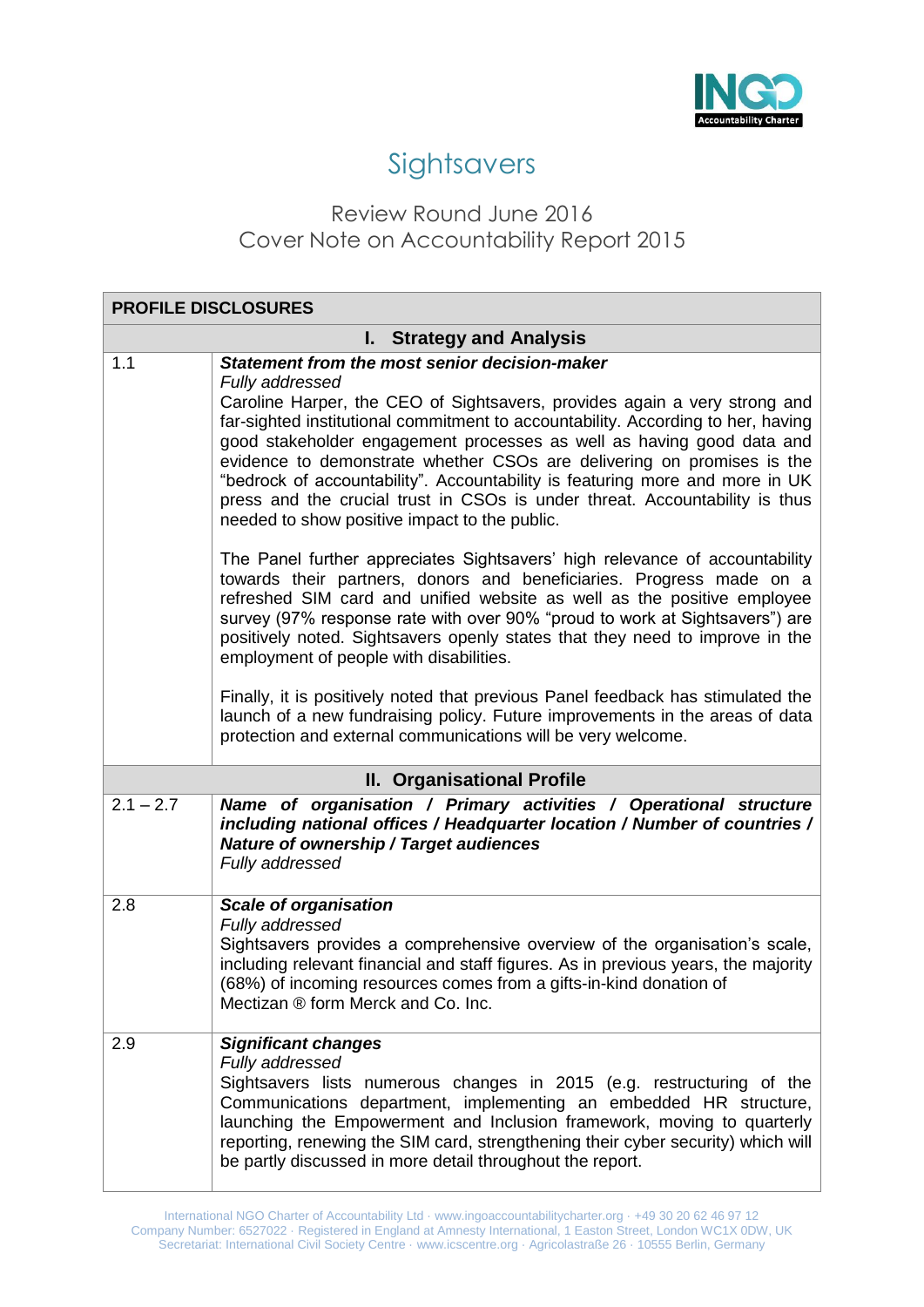

## **Sightsavers**

### Review Round June 2016 Cover Note on Accountability Report 2015

| <b>PROFILE DISCLOSURES</b>      |                                                                                                                                                                                                                                                                                                                                                                                                                                                     |
|---------------------------------|-----------------------------------------------------------------------------------------------------------------------------------------------------------------------------------------------------------------------------------------------------------------------------------------------------------------------------------------------------------------------------------------------------------------------------------------------------|
| <b>I. Strategy and Analysis</b> |                                                                                                                                                                                                                                                                                                                                                                                                                                                     |
| 1.1                             | Statement from the most senior decision-maker<br>Fully addressed<br>Caroline Harper, the CEO of Sightsavers, provides again a very strong and                                                                                                                                                                                                                                                                                                       |
|                                 | far-sighted institutional commitment to accountability. According to her, having<br>good stakeholder engagement processes as well as having good data and<br>evidence to demonstrate whether CSOs are delivering on promises is the<br>"bedrock of accountability". Accountability is featuring more and more in UK<br>press and the crucial trust in CSOs is under threat. Accountability is thus<br>needed to show positive impact to the public. |
|                                 | The Panel further appreciates Sightsavers' high relevance of accountability<br>towards their partners, donors and beneficiaries. Progress made on a<br>refreshed SIM card and unified website as well as the positive employee<br>survey (97% response rate with over 90% "proud to work at Sightsavers") are<br>positively noted. Sightsavers openly states that they need to improve in the<br>employment of people with disabilities.            |
|                                 | Finally, it is positively noted that previous Panel feedback has stimulated the<br>launch of a new fundraising policy. Future improvements in the areas of data<br>protection and external communications will be very welcome.                                                                                                                                                                                                                     |
|                                 | <b>II. Organisational Profile</b>                                                                                                                                                                                                                                                                                                                                                                                                                   |
| $2.1 - 2.7$                     | Name of organisation / Primary activities / Operational structure<br>including national offices / Headquarter location / Number of countries /<br>Nature of ownership / Target audiences<br>Fully addressed                                                                                                                                                                                                                                         |
| 2.8                             | <b>Scale of organisation</b><br>Fully addressed<br>Sightsavers provides a comprehensive overview of the organisation's scale,<br>including relevant financial and staff figures. As in previous years, the majority<br>(68%) of incoming resources comes from a gifts-in-kind donation of<br>Mectizan ® form Merck and Co. Inc.                                                                                                                     |
| 2.9                             | <b>Significant changes</b><br>Fully addressed<br>Sightsavers lists numerous changes in 2015 (e.g. restructuring of the<br>Communications department, implementing an embedded HR structure,<br>launching the Empowerment and Inclusion framework, moving to quarterly<br>reporting, renewing the SIM card, strengthening their cyber security) which will<br>be partly discussed in more detail throughout the report.                              |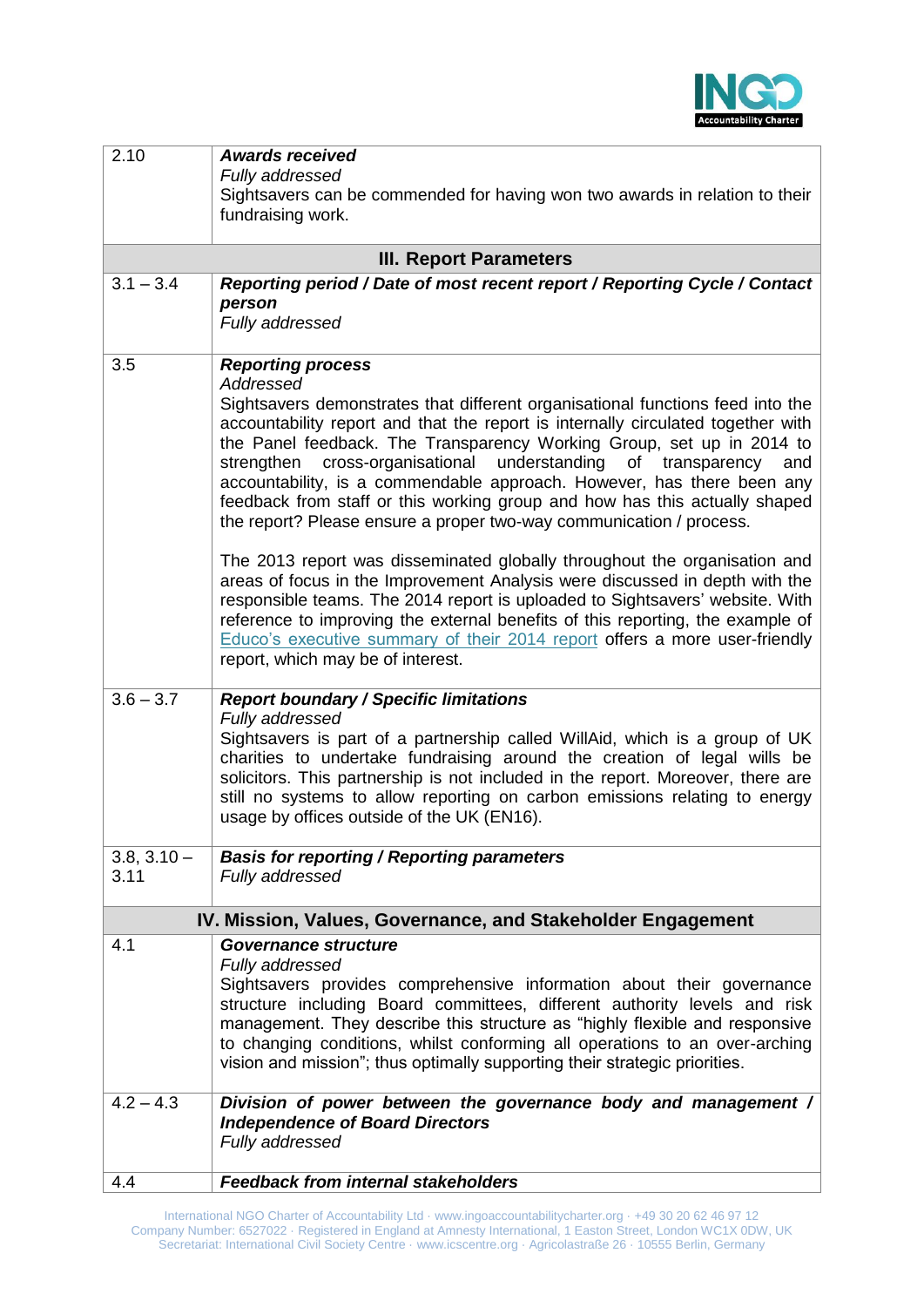

| 2.10                  | <b>Awards received</b><br>Fully addressed<br>Sightsavers can be commended for having won two awards in relation to their<br>fundraising work.                                                                                                                                                                                                                                                                                                                                                                                                                                                                                                                                                                                                                                                                                                                                                                                                                                                                                                   |
|-----------------------|-------------------------------------------------------------------------------------------------------------------------------------------------------------------------------------------------------------------------------------------------------------------------------------------------------------------------------------------------------------------------------------------------------------------------------------------------------------------------------------------------------------------------------------------------------------------------------------------------------------------------------------------------------------------------------------------------------------------------------------------------------------------------------------------------------------------------------------------------------------------------------------------------------------------------------------------------------------------------------------------------------------------------------------------------|
|                       | <b>III. Report Parameters</b>                                                                                                                                                                                                                                                                                                                                                                                                                                                                                                                                                                                                                                                                                                                                                                                                                                                                                                                                                                                                                   |
| $3.1 - 3.4$           | Reporting period / Date of most recent report / Reporting Cycle / Contact<br>person<br>Fully addressed                                                                                                                                                                                                                                                                                                                                                                                                                                                                                                                                                                                                                                                                                                                                                                                                                                                                                                                                          |
| 3.5                   | <b>Reporting process</b><br>Addressed<br>Sightsavers demonstrates that different organisational functions feed into the<br>accountability report and that the report is internally circulated together with<br>the Panel feedback. The Transparency Working Group, set up in 2014 to<br>cross-organisational understanding of transparency<br>strengthen<br>and<br>accountability, is a commendable approach. However, has there been any<br>feedback from staff or this working group and how has this actually shaped<br>the report? Please ensure a proper two-way communication / process.<br>The 2013 report was disseminated globally throughout the organisation and<br>areas of focus in the Improvement Analysis were discussed in depth with the<br>responsible teams. The 2014 report is uploaded to Sightsavers' website. With<br>reference to improving the external benefits of this reporting, the example of<br>Educo's executive summary of their 2014 report offers a more user-friendly<br>report, which may be of interest. |
| $3.6 - 3.7$           | <b>Report boundary / Specific limitations</b><br>Fully addressed<br>Sightsavers is part of a partnership called WillAid, which is a group of UK<br>charities to undertake fundraising around the creation of legal wills be<br>solicitors. This partnership is not included in the report. Moreover, there are<br>still no systems to allow reporting on carbon emissions relating to energy<br>usage by offices outside of the UK (EN16).                                                                                                                                                                                                                                                                                                                                                                                                                                                                                                                                                                                                      |
| $3.8, 3.10 -$<br>3.11 | <b>Basis for reporting / Reporting parameters</b><br>Fully addressed                                                                                                                                                                                                                                                                                                                                                                                                                                                                                                                                                                                                                                                                                                                                                                                                                                                                                                                                                                            |
|                       | IV. Mission, Values, Governance, and Stakeholder Engagement                                                                                                                                                                                                                                                                                                                                                                                                                                                                                                                                                                                                                                                                                                                                                                                                                                                                                                                                                                                     |
| 4.1                   | Governance structure<br>Fully addressed<br>Sightsavers provides comprehensive information about their governance<br>structure including Board committees, different authority levels and risk<br>management. They describe this structure as "highly flexible and responsive<br>to changing conditions, whilst conforming all operations to an over-arching<br>vision and mission"; thus optimally supporting their strategic priorities.                                                                                                                                                                                                                                                                                                                                                                                                                                                                                                                                                                                                       |
| $4.2 - 4.3$           | Division of power between the governance body and management /<br><b>Independence of Board Directors</b><br>Fully addressed                                                                                                                                                                                                                                                                                                                                                                                                                                                                                                                                                                                                                                                                                                                                                                                                                                                                                                                     |
| 4.4                   | <b>Feedback from internal stakeholders</b>                                                                                                                                                                                                                                                                                                                                                                                                                                                                                                                                                                                                                                                                                                                                                                                                                                                                                                                                                                                                      |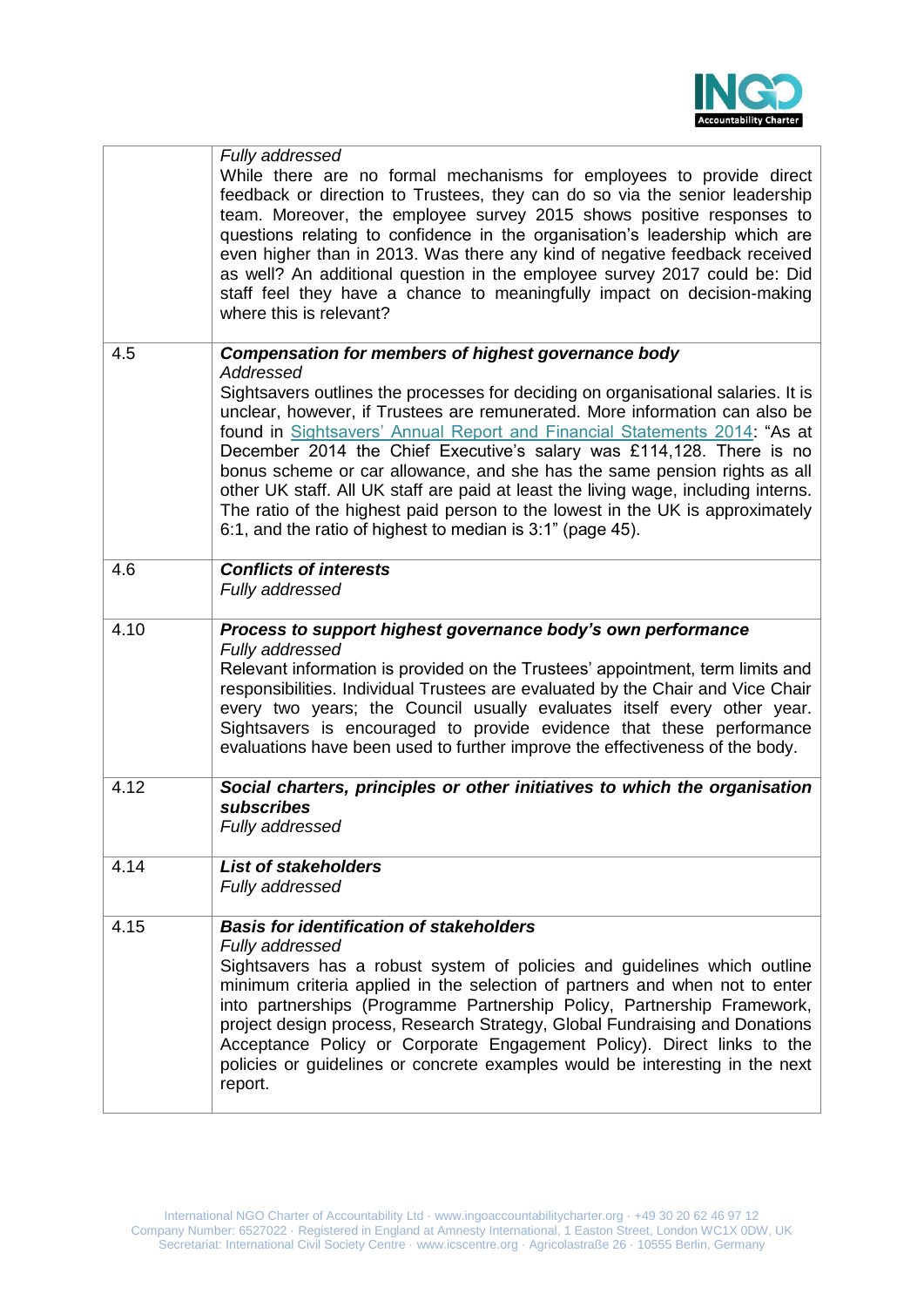

|      | Fully addressed<br>While there are no formal mechanisms for employees to provide direct<br>feedback or direction to Trustees, they can do so via the senior leadership<br>team. Moreover, the employee survey 2015 shows positive responses to<br>questions relating to confidence in the organisation's leadership which are<br>even higher than in 2013. Was there any kind of negative feedback received<br>as well? An additional question in the employee survey 2017 could be: Did<br>staff feel they have a chance to meaningfully impact on decision-making<br>where this is relevant?                                                                                                              |
|------|-------------------------------------------------------------------------------------------------------------------------------------------------------------------------------------------------------------------------------------------------------------------------------------------------------------------------------------------------------------------------------------------------------------------------------------------------------------------------------------------------------------------------------------------------------------------------------------------------------------------------------------------------------------------------------------------------------------|
| 4.5  | Compensation for members of highest governance body<br>Addressed<br>Sightsavers outlines the processes for deciding on organisational salaries. It is<br>unclear, however, if Trustees are remunerated. More information can also be<br>found in Sightsavers' Annual Report and Financial Statements 2014: "As at<br>December 2014 the Chief Executive's salary was £114,128. There is no<br>bonus scheme or car allowance, and she has the same pension rights as all<br>other UK staff. All UK staff are paid at least the living wage, including interns.<br>The ratio of the highest paid person to the lowest in the UK is approximately<br>6:1, and the ratio of highest to median is 3:1" (page 45). |
| 4.6  | <b>Conflicts of interests</b><br>Fully addressed                                                                                                                                                                                                                                                                                                                                                                                                                                                                                                                                                                                                                                                            |
| 4.10 | Process to support highest governance body's own performance<br>Fully addressed<br>Relevant information is provided on the Trustees' appointment, term limits and<br>responsibilities. Individual Trustees are evaluated by the Chair and Vice Chair<br>every two years; the Council usually evaluates itself every other year.<br>Sightsavers is encouraged to provide evidence that these performance<br>evaluations have been used to further improve the effectiveness of the body.                                                                                                                                                                                                                     |
| 4.12 | Social charters, principles or other initiatives to which the organisation<br>subscribes<br>Fully addressed                                                                                                                                                                                                                                                                                                                                                                                                                                                                                                                                                                                                 |
| 4.14 | <b>List of stakeholders</b><br>Fully addressed                                                                                                                                                                                                                                                                                                                                                                                                                                                                                                                                                                                                                                                              |
| 4.15 | <b>Basis for identification of stakeholders</b><br>Fully addressed<br>Sightsavers has a robust system of policies and guidelines which outline<br>minimum criteria applied in the selection of partners and when not to enter<br>into partnerships (Programme Partnership Policy, Partnership Framework,<br>project design process, Research Strategy, Global Fundraising and Donations<br>Acceptance Policy or Corporate Engagement Policy). Direct links to the<br>policies or guidelines or concrete examples would be interesting in the next<br>report.                                                                                                                                                |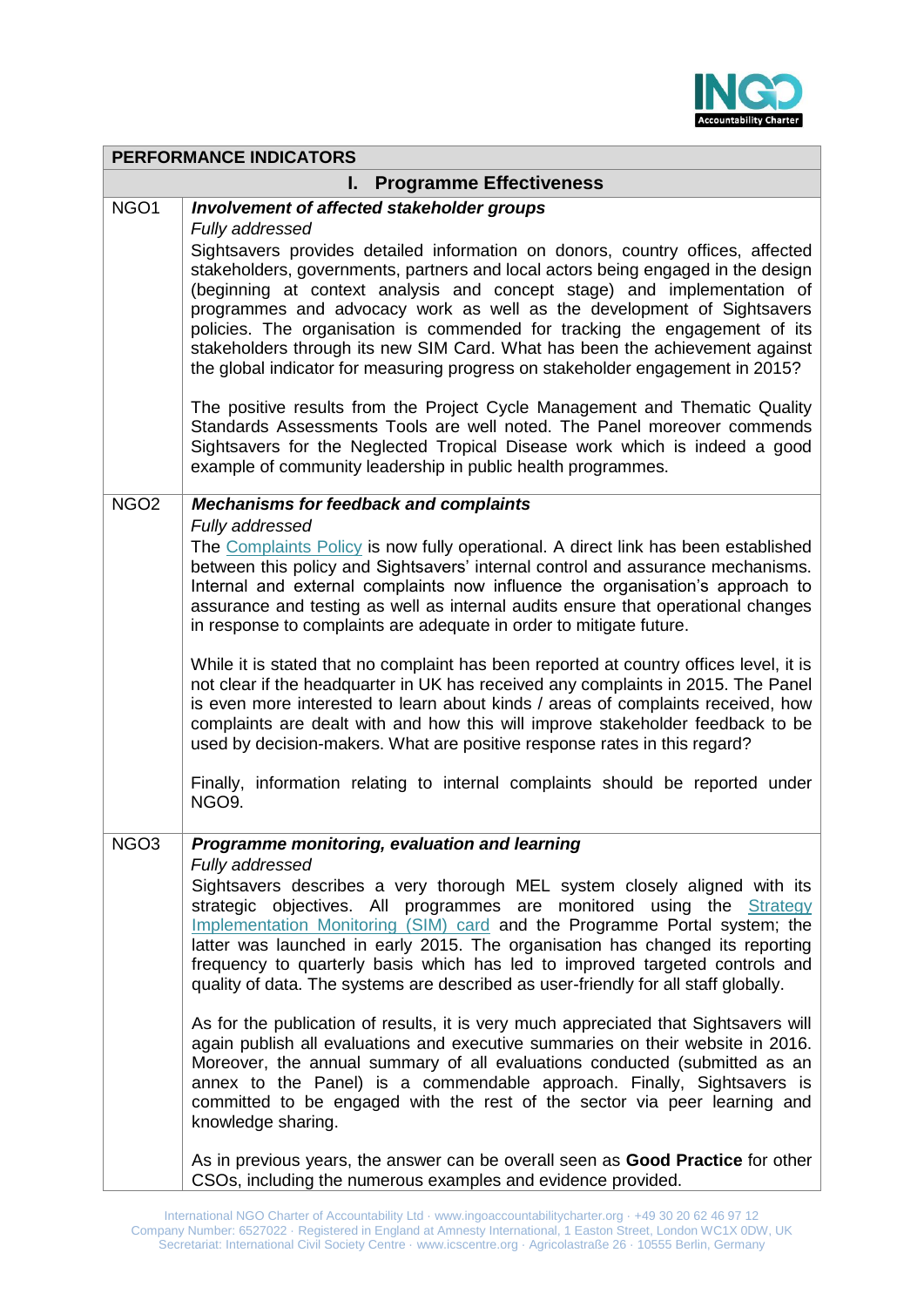

|                                      | <b>PERFORMANCE INDICATORS</b>                                                                                                                                                                                                                                                                                                                                                                                                                                                                                                                                                                                                                                                                                                                                                                                                                                                                                                                                                                                                                                                                                                                               |
|--------------------------------------|-------------------------------------------------------------------------------------------------------------------------------------------------------------------------------------------------------------------------------------------------------------------------------------------------------------------------------------------------------------------------------------------------------------------------------------------------------------------------------------------------------------------------------------------------------------------------------------------------------------------------------------------------------------------------------------------------------------------------------------------------------------------------------------------------------------------------------------------------------------------------------------------------------------------------------------------------------------------------------------------------------------------------------------------------------------------------------------------------------------------------------------------------------------|
| <b>Programme Effectiveness</b><br>L. |                                                                                                                                                                                                                                                                                                                                                                                                                                                                                                                                                                                                                                                                                                                                                                                                                                                                                                                                                                                                                                                                                                                                                             |
| NGO1                                 | Involvement of affected stakeholder groups<br>Fully addressed<br>Sightsavers provides detailed information on donors, country offices, affected<br>stakeholders, governments, partners and local actors being engaged in the design<br>(beginning at context analysis and concept stage) and implementation of<br>programmes and advocacy work as well as the development of Sightsavers<br>policies. The organisation is commended for tracking the engagement of its                                                                                                                                                                                                                                                                                                                                                                                                                                                                                                                                                                                                                                                                                      |
|                                      | stakeholders through its new SIM Card. What has been the achievement against<br>the global indicator for measuring progress on stakeholder engagement in 2015?<br>The positive results from the Project Cycle Management and Thematic Quality<br>Standards Assessments Tools are well noted. The Panel moreover commends<br>Sightsavers for the Neglected Tropical Disease work which is indeed a good<br>example of community leadership in public health programmes.                                                                                                                                                                                                                                                                                                                                                                                                                                                                                                                                                                                                                                                                                      |
| NGO <sub>2</sub>                     | <b>Mechanisms for feedback and complaints</b><br>Fully addressed<br>The Complaints Policy is now fully operational. A direct link has been established<br>between this policy and Sightsavers' internal control and assurance mechanisms.<br>Internal and external complaints now influence the organisation's approach to<br>assurance and testing as well as internal audits ensure that operational changes<br>in response to complaints are adequate in order to mitigate future.<br>While it is stated that no complaint has been reported at country offices level, it is<br>not clear if the headquarter in UK has received any complaints in 2015. The Panel<br>is even more interested to learn about kinds / areas of complaints received, how<br>complaints are dealt with and how this will improve stakeholder feedback to be<br>used by decision-makers. What are positive response rates in this regard?<br>Finally, information relating to internal complaints should be reported under<br>NGO9.                                                                                                                                           |
| NGO <sub>3</sub>                     | Programme monitoring, evaluation and learning<br>Fully addressed<br>Sightsavers describes a very thorough MEL system closely aligned with its<br>strategic objectives. All programmes are monitored using the Strategy<br>Implementation Monitoring (SIM) card and the Programme Portal system; the<br>latter was launched in early 2015. The organisation has changed its reporting<br>frequency to quarterly basis which has led to improved targeted controls and<br>quality of data. The systems are described as user-friendly for all staff globally.<br>As for the publication of results, it is very much appreciated that Sightsavers will<br>again publish all evaluations and executive summaries on their website in 2016.<br>Moreover, the annual summary of all evaluations conducted (submitted as an<br>annex to the Panel) is a commendable approach. Finally, Sightsavers is<br>committed to be engaged with the rest of the sector via peer learning and<br>knowledge sharing.<br>As in previous years, the answer can be overall seen as <b>Good Practice</b> for other<br>CSOs, including the numerous examples and evidence provided. |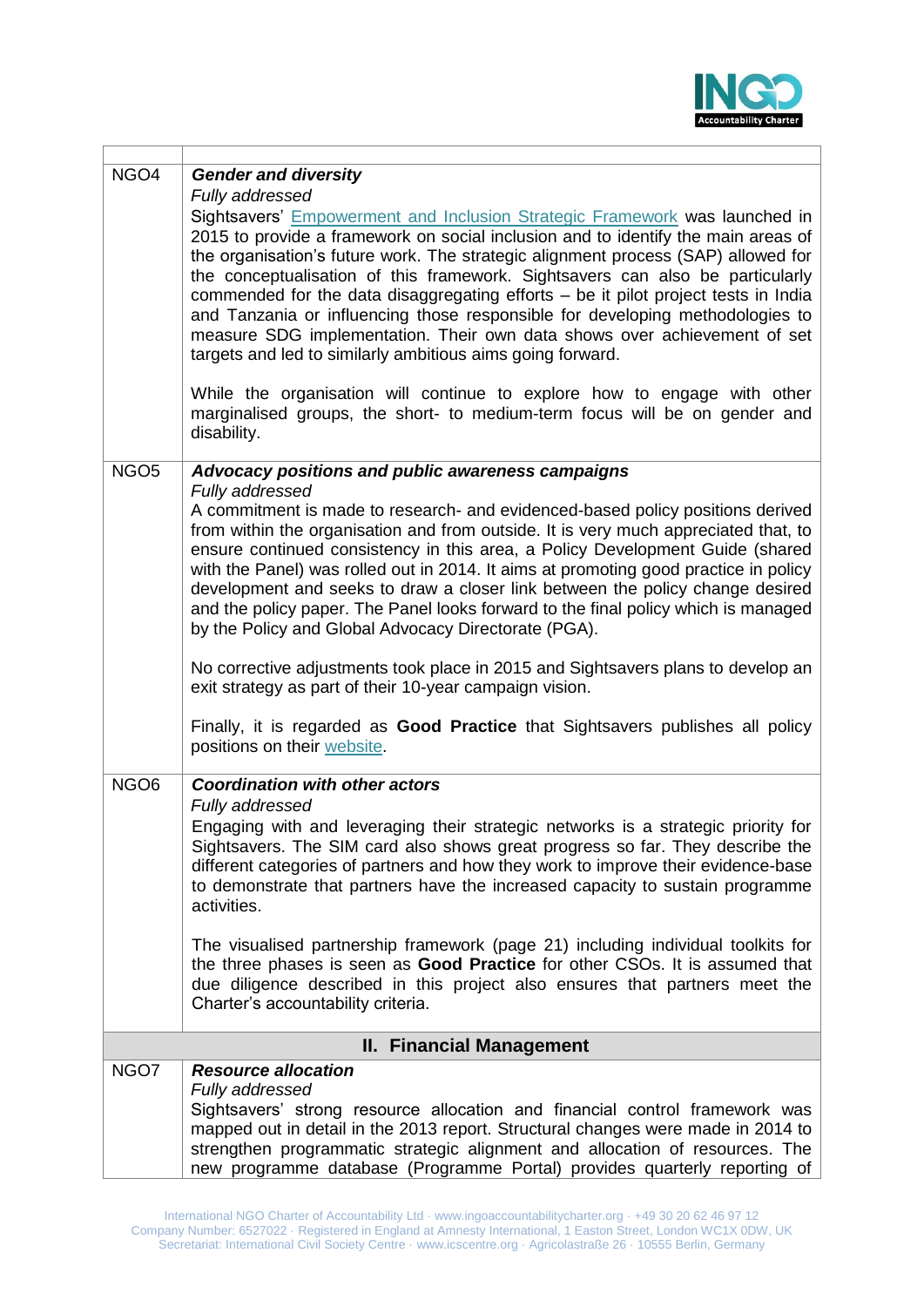

| NGO4                            | <b>Gender and diversity</b><br>Fully addressed                                                                                                                                                                                                                                                                                                                                                                                                                                                                                                                                                                                                         |
|---------------------------------|--------------------------------------------------------------------------------------------------------------------------------------------------------------------------------------------------------------------------------------------------------------------------------------------------------------------------------------------------------------------------------------------------------------------------------------------------------------------------------------------------------------------------------------------------------------------------------------------------------------------------------------------------------|
|                                 | Sightsavers' Empowerment and Inclusion Strategic Framework was launched in<br>2015 to provide a framework on social inclusion and to identify the main areas of<br>the organisation's future work. The strategic alignment process (SAP) allowed for<br>the conceptualisation of this framework. Sightsavers can also be particularly<br>commended for the data disaggregating efforts - be it pilot project tests in India<br>and Tanzania or influencing those responsible for developing methodologies to<br>measure SDG implementation. Their own data shows over achievement of set<br>targets and led to similarly ambitious aims going forward. |
|                                 | While the organisation will continue to explore how to engage with other<br>marginalised groups, the short- to medium-term focus will be on gender and<br>disability.                                                                                                                                                                                                                                                                                                                                                                                                                                                                                  |
| NGO <sub>5</sub>                | Advocacy positions and public awareness campaigns<br>Fully addressed                                                                                                                                                                                                                                                                                                                                                                                                                                                                                                                                                                                   |
|                                 | A commitment is made to research- and evidenced-based policy positions derived<br>from within the organisation and from outside. It is very much appreciated that, to<br>ensure continued consistency in this area, a Policy Development Guide (shared<br>with the Panel) was rolled out in 2014. It aims at promoting good practice in policy<br>development and seeks to draw a closer link between the policy change desired<br>and the policy paper. The Panel looks forward to the final policy which is managed<br>by the Policy and Global Advocacy Directorate (PGA).                                                                          |
|                                 | No corrective adjustments took place in 2015 and Sightsavers plans to develop an<br>exit strategy as part of their 10-year campaign vision.                                                                                                                                                                                                                                                                                                                                                                                                                                                                                                            |
|                                 | Finally, it is regarded as Good Practice that Sightsavers publishes all policy<br>positions on their website.                                                                                                                                                                                                                                                                                                                                                                                                                                                                                                                                          |
| NGO <sub>6</sub>                | <b>Coordination with other actors</b><br>Fully addressed                                                                                                                                                                                                                                                                                                                                                                                                                                                                                                                                                                                               |
|                                 | Engaging with and leveraging their strategic networks is a strategic priority for<br>Sightsavers. The SIM card also shows great progress so far. They describe the<br>different categories of partners and how they work to improve their evidence-base<br>to demonstrate that partners have the increased capacity to sustain programme<br>activities.                                                                                                                                                                                                                                                                                                |
|                                 | The visualised partnership framework (page 21) including individual toolkits for<br>the three phases is seen as Good Practice for other CSOs. It is assumed that<br>due diligence described in this project also ensures that partners meet the<br>Charter's accountability criteria.                                                                                                                                                                                                                                                                                                                                                                  |
| <b>II. Financial Management</b> |                                                                                                                                                                                                                                                                                                                                                                                                                                                                                                                                                                                                                                                        |
| NGO7                            | <b>Resource allocation</b>                                                                                                                                                                                                                                                                                                                                                                                                                                                                                                                                                                                                                             |
|                                 | Fully addressed<br>Sightsavers' strong resource allocation and financial control framework was<br>mapped out in detail in the 2013 report. Structural changes were made in 2014 to<br>strengthen programmatic strategic alignment and allocation of resources. The<br>new programme database (Programme Portal) provides quarterly reporting of                                                                                                                                                                                                                                                                                                        |

T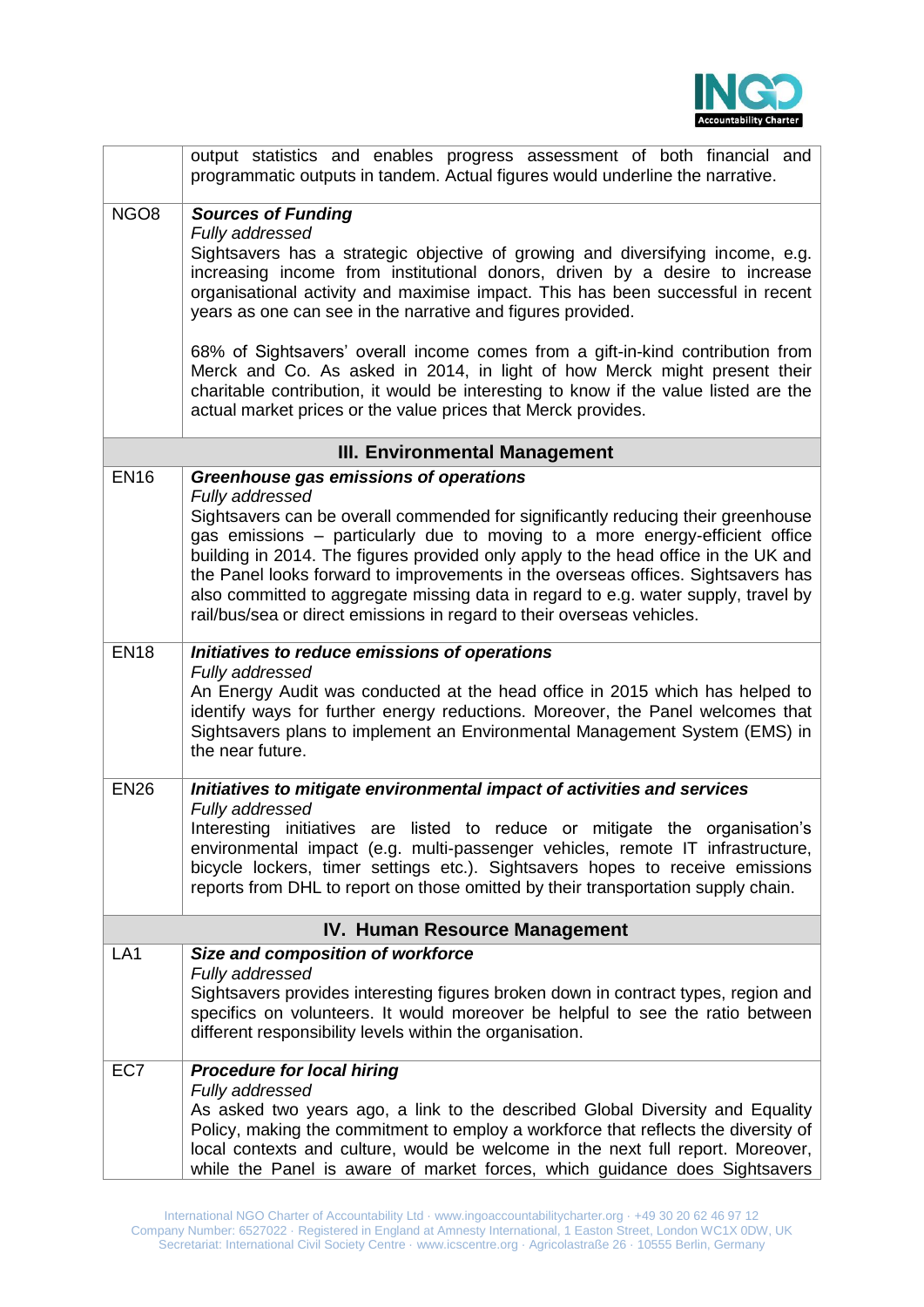

|                                      | output statistics and enables progress assessment of both financial and<br>programmatic outputs in tandem. Actual figures would underline the narrative.                                                                                                                                                                                                                                                                                                                                                                      |
|--------------------------------------|-------------------------------------------------------------------------------------------------------------------------------------------------------------------------------------------------------------------------------------------------------------------------------------------------------------------------------------------------------------------------------------------------------------------------------------------------------------------------------------------------------------------------------|
| NGO <sub>8</sub>                     | <b>Sources of Funding</b><br>Fully addressed<br>Sightsavers has a strategic objective of growing and diversifying income, e.g.<br>increasing income from institutional donors, driven by a desire to increase<br>organisational activity and maximise impact. This has been successful in recent<br>years as one can see in the narrative and figures provided.                                                                                                                                                               |
|                                      | 68% of Sightsavers' overall income comes from a gift-in-kind contribution from<br>Merck and Co. As asked in 2014, in light of how Merck might present their<br>charitable contribution, it would be interesting to know if the value listed are the<br>actual market prices or the value prices that Merck provides.                                                                                                                                                                                                          |
|                                      | <b>III. Environmental Management</b>                                                                                                                                                                                                                                                                                                                                                                                                                                                                                          |
| <b>EN16</b>                          | Greenhouse gas emissions of operations                                                                                                                                                                                                                                                                                                                                                                                                                                                                                        |
|                                      | Fully addressed<br>Sightsavers can be overall commended for significantly reducing their greenhouse<br>gas emissions - particularly due to moving to a more energy-efficient office<br>building in 2014. The figures provided only apply to the head office in the UK and<br>the Panel looks forward to improvements in the overseas offices. Sightsavers has<br>also committed to aggregate missing data in regard to e.g. water supply, travel by<br>rail/bus/sea or direct emissions in regard to their overseas vehicles. |
| <b>EN18</b>                          | Initiatives to reduce emissions of operations<br>Fully addressed<br>An Energy Audit was conducted at the head office in 2015 which has helped to<br>identify ways for further energy reductions. Moreover, the Panel welcomes that<br>Sightsavers plans to implement an Environmental Management System (EMS) in<br>the near future.                                                                                                                                                                                          |
| <b>EN26</b>                          | Initiatives to mitigate environmental impact of activities and services<br>Fully addressed<br>Interesting initiatives are listed to reduce or mitigate the organisation's<br>environmental impact (e.g. multi-passenger vehicles, remote IT infrastructure,<br>bicycle lockers, timer settings etc.). Sightsavers hopes to receive emissions<br>reports from DHL to report on those omitted by their transportation supply chain.                                                                                             |
| <b>IV. Human Resource Management</b> |                                                                                                                                                                                                                                                                                                                                                                                                                                                                                                                               |
| LA <sub>1</sub>                      | Size and composition of workforce<br>Fully addressed<br>Sightsavers provides interesting figures broken down in contract types, region and<br>specifics on volunteers. It would moreover be helpful to see the ratio between<br>different responsibility levels within the organisation.                                                                                                                                                                                                                                      |
| EC7                                  | <b>Procedure for local hiring</b><br>Fully addressed<br>As asked two years ago, a link to the described Global Diversity and Equality<br>Policy, making the commitment to employ a workforce that reflects the diversity of<br>local contexts and culture, would be welcome in the next full report. Moreover,<br>while the Panel is aware of market forces, which guidance does Sightsavers                                                                                                                                  |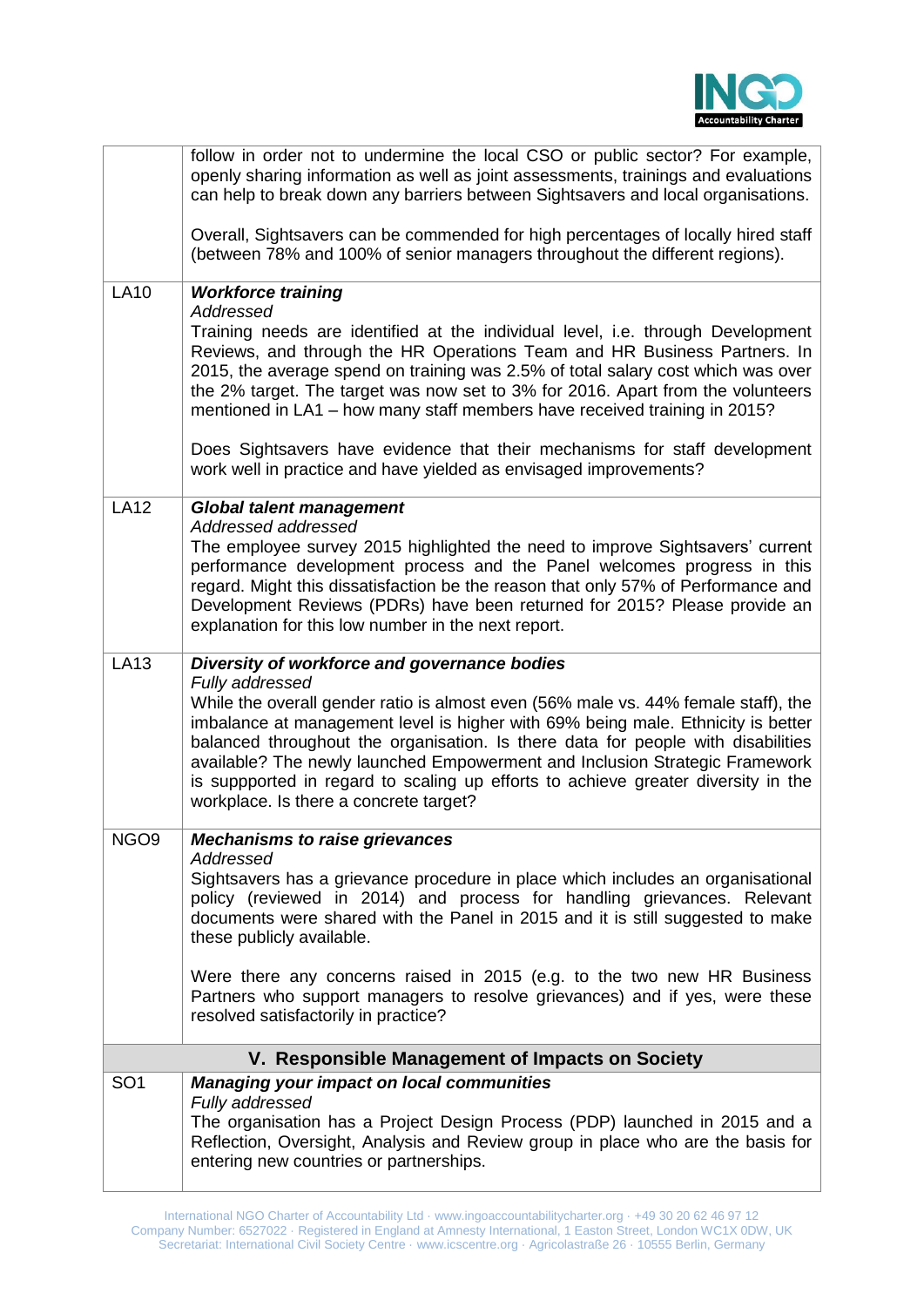

|                                                 | follow in order not to undermine the local CSO or public sector? For example,<br>openly sharing information as well as joint assessments, trainings and evaluations<br>can help to break down any barriers between Sightsavers and local organisations.                                                                                                                                                                                                                  |
|-------------------------------------------------|--------------------------------------------------------------------------------------------------------------------------------------------------------------------------------------------------------------------------------------------------------------------------------------------------------------------------------------------------------------------------------------------------------------------------------------------------------------------------|
|                                                 | Overall, Sightsavers can be commended for high percentages of locally hired staff<br>(between 78% and 100% of senior managers throughout the different regions).                                                                                                                                                                                                                                                                                                         |
| <b>LA10</b>                                     | <b>Workforce training</b><br>Addressed                                                                                                                                                                                                                                                                                                                                                                                                                                   |
|                                                 | Training needs are identified at the individual level, i.e. through Development<br>Reviews, and through the HR Operations Team and HR Business Partners. In<br>2015, the average spend on training was 2.5% of total salary cost which was over<br>the 2% target. The target was now set to 3% for 2016. Apart from the volunteers<br>mentioned in LA1 - how many staff members have received training in 2015?                                                          |
|                                                 | Does Sightsavers have evidence that their mechanisms for staff development<br>work well in practice and have yielded as envisaged improvements?                                                                                                                                                                                                                                                                                                                          |
| <b>LA12</b>                                     | <b>Global talent management</b><br>Addressed addressed                                                                                                                                                                                                                                                                                                                                                                                                                   |
|                                                 | The employee survey 2015 highlighted the need to improve Sightsavers' current<br>performance development process and the Panel welcomes progress in this<br>regard. Might this dissatisfaction be the reason that only 57% of Performance and<br>Development Reviews (PDRs) have been returned for 2015? Please provide an<br>explanation for this low number in the next report.                                                                                        |
| <b>LA13</b>                                     | Diversity of workforce and governance bodies<br>Fully addressed                                                                                                                                                                                                                                                                                                                                                                                                          |
|                                                 | While the overall gender ratio is almost even (56% male vs. 44% female staff), the<br>imbalance at management level is higher with 69% being male. Ethnicity is better<br>balanced throughout the organisation. Is there data for people with disabilities<br>available? The newly launched Empowerment and Inclusion Strategic Framework<br>is suppported in regard to scaling up efforts to achieve greater diversity in the<br>workplace. Is there a concrete target? |
| NGO <sub>9</sub>                                | <b>Mechanisms to raise grievances</b><br>Addressed                                                                                                                                                                                                                                                                                                                                                                                                                       |
|                                                 | Sightsavers has a grievance procedure in place which includes an organisational<br>policy (reviewed in 2014) and process for handling grievances. Relevant<br>documents were shared with the Panel in 2015 and it is still suggested to make<br>these publicly available.                                                                                                                                                                                                |
|                                                 | Were there any concerns raised in 2015 (e.g. to the two new HR Business<br>Partners who support managers to resolve grievances) and if yes, were these<br>resolved satisfactorily in practice?                                                                                                                                                                                                                                                                           |
| V. Responsible Management of Impacts on Society |                                                                                                                                                                                                                                                                                                                                                                                                                                                                          |
| SO <sub>1</sub>                                 | <b>Managing your impact on local communities</b><br>Fully addressed<br>The organisation has a Project Design Process (PDP) launched in 2015 and a<br>Reflection, Oversight, Analysis and Review group in place who are the basis for<br>entering new countries or partnerships.                                                                                                                                                                                          |